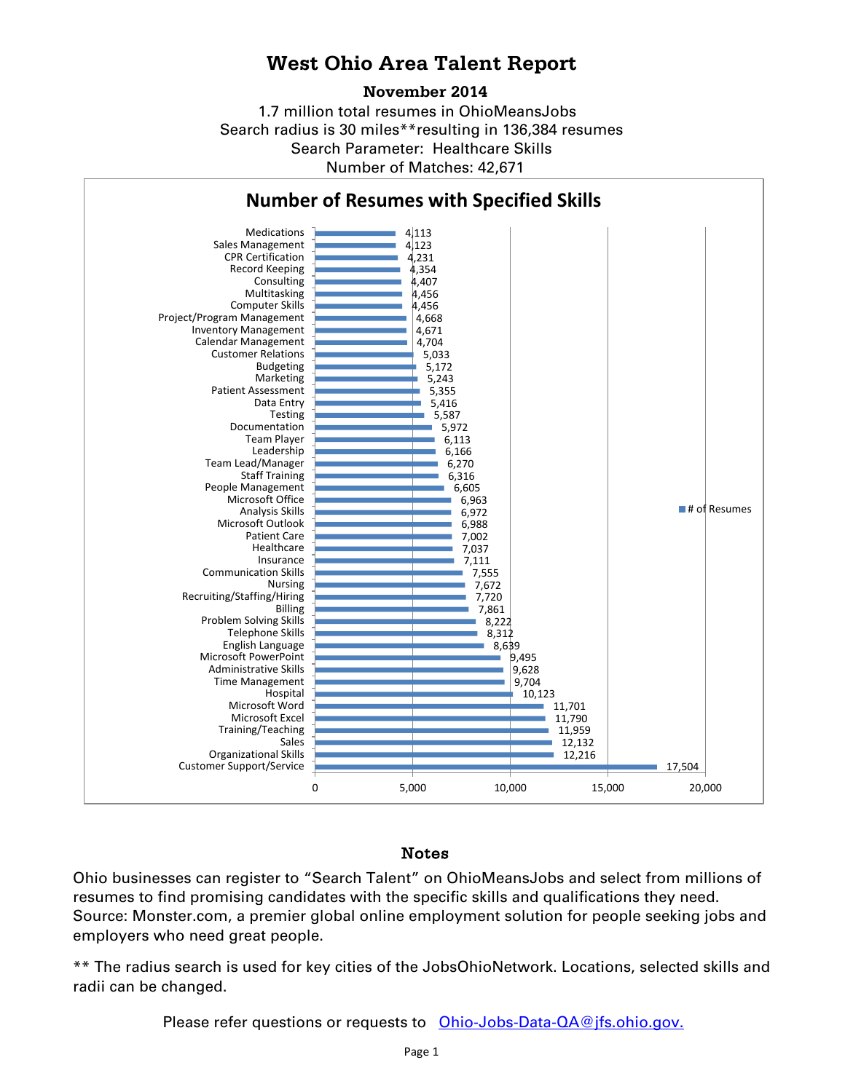## **West Ohio Area Talent Report**

### **November 2014**

1.7 million total resumes in OhioMeansJobs Search radius is 30 miles\*\*resulting in 136,384 resumes Number of Matches: 42,671 Search Parameter: Healthcare Skills



### Notes

Ohio businesses can register to "Search Talent" on OhioMeansJobs and select from millions of resumes to find promising candidates with the specific skills and qualifications they need. Source: Monster.com, a premier global online employment solution for people seeking jobs and employers who need great people.

\*\* The radius search is used for key cities of the JobsOhioNetwork. Locations, selected skills and radii can be changed.

Please refer questions or requests to [Ohio-Jobs-Data-QA@jfs.ohio.gov.](mailto:Ohio-Jobs-Data-QA@jfs.ohio.gov.)